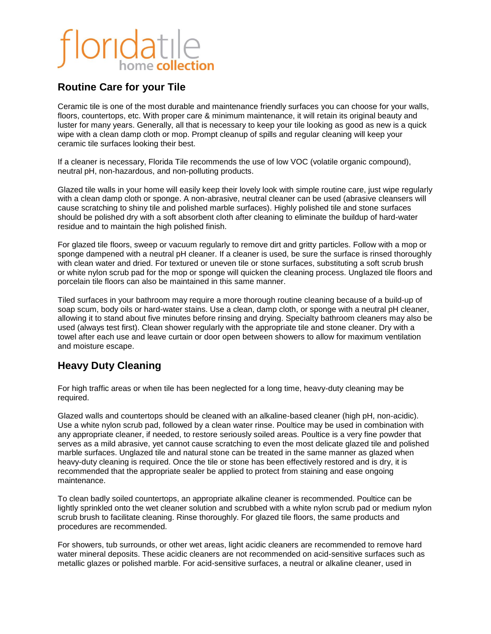#### **Routine Care for your Tile**

Ceramic tile is one of the most durable and maintenance friendly surfaces you can choose for your walls, floors, countertops, etc. With proper care & minimum maintenance, it will retain its original beauty and luster for many years. Generally, all that is necessary to keep your tile looking as good as new is a quick wipe with a clean damp cloth or mop. Prompt cleanup of spills and regular cleaning will keep your ceramic tile surfaces looking their best.

If a cleaner is necessary, Florida Tile recommends the use of low VOC (volatile organic compound), neutral pH, non-hazardous, and non-polluting products.

Glazed tile walls in your home will easily keep their lovely look with simple routine care, just wipe regularly with a clean damp cloth or sponge. A non-abrasive, neutral cleaner can be used (abrasive cleansers will cause scratching to shiny tile and polished marble surfaces). Highly polished tile and stone surfaces should be polished dry with a soft absorbent cloth after cleaning to eliminate the buildup of hard-water residue and to maintain the high polished finish.

For glazed tile floors, sweep or vacuum regularly to remove dirt and gritty particles. Follow with a mop or sponge dampened with a neutral pH cleaner. If a cleaner is used, be sure the surface is rinsed thoroughly with clean water and dried. For textured or uneven tile or stone surfaces, substituting a soft scrub brush or white nylon scrub pad for the mop or sponge will quicken the cleaning process. Unglazed tile floors and porcelain tile floors can also be maintained in this same manner.

Tiled surfaces in your bathroom may require a more thorough routine cleaning because of a build-up of soap scum, body oils or hard-water stains. Use a clean, damp cloth, or sponge with a neutral pH cleaner, allowing it to stand about five minutes before rinsing and drying. Specialty bathroom cleaners may also be used (always test first). Clean shower regularly with the appropriate tile and stone cleaner. Dry with a towel after each use and leave curtain or door open between showers to allow for maximum ventilation and moisture escape.

### **Heavy Duty Cleaning**

For high traffic areas or when tile has been neglected for a long time, heavy-duty cleaning may be required.

Glazed walls and countertops should be cleaned with an alkaline-based cleaner (high pH, non-acidic). Use a white nylon scrub pad, followed by a clean water rinse. Poultice may be used in combination with any appropriate cleaner, if needed, to restore seriously soiled areas. Poultice is a very fine powder that serves as a mild abrasive, yet cannot cause scratching to even the most delicate glazed tile and polished marble surfaces. Unglazed tile and natural stone can be treated in the same manner as glazed when heavy-duty cleaning is required. Once the tile or stone has been effectively restored and is dry, it is recommended that the appropriate sealer be applied to protect from staining and ease ongoing maintenance.

To clean badly soiled countertops, an appropriate alkaline cleaner is recommended. Poultice can be lightly sprinkled onto the wet cleaner solution and scrubbed with a white nylon scrub pad or medium nylon scrub brush to facilitate cleaning. Rinse thoroughly. For glazed tile floors, the same products and procedures are recommended.

For showers, tub surrounds, or other wet areas, light acidic cleaners are recommended to remove hard water mineral deposits. These acidic cleaners are not recommended on acid-sensitive surfaces such as metallic glazes or polished marble. For acid-sensitive surfaces, a neutral or alkaline cleaner, used in